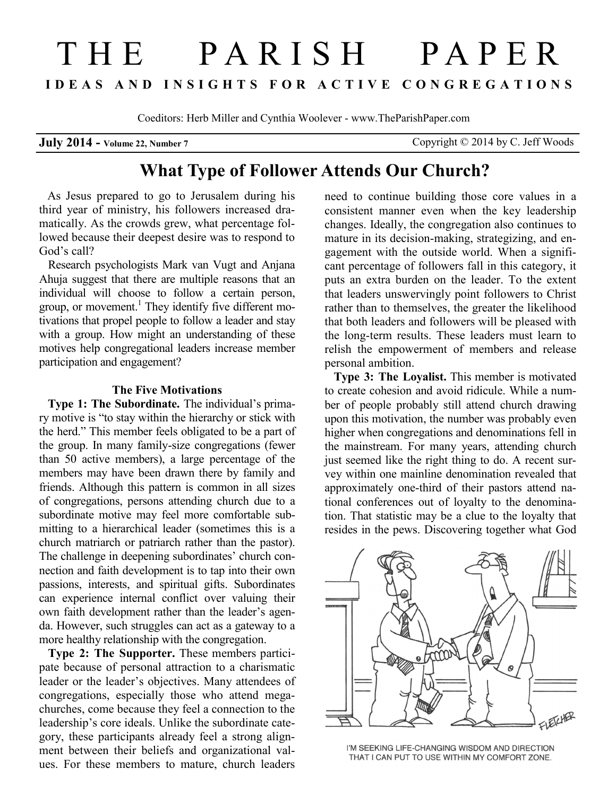# THE PARISH PAPER **I D E A S A N D I N S I G H T S F O R A C T I V E C O N G R E G A T I O N S**

Coeditors: Herb Miller and Cynthia Woolever - www.TheParishPaper.com

**July 2014 - Volume 22, Number 7** Copyright © 2014 by C. Jeff Woods

## **What Type of Follower Attends Our Church?**

 As Jesus prepared to go to Jerusalem during his third year of ministry, his followers increased dramatically. As the crowds grew, what percentage followed because their deepest desire was to respond to God's call?

Research psychologists Mark van Vugt and Anjana Ahuja suggest that there are multiple reasons that an individual will choose to follow a certain person, group, or movement.<sup>1</sup> They identify five different motivations that propel people to follow a leader and stay with a group. How might an understanding of these motives help congregational leaders increase member participation and engagement?

#### **The Five Motivations**

 **Type 1: The Subordinate.** The individual's primary motive is "to stay within the hierarchy or stick with the herd." This member feels obligated to be a part of the group. In many family-size congregations (fewer than 50 active members), a large percentage of the members may have been drawn there by family and friends. Although this pattern is common in all sizes of congregations, persons attending church due to a subordinate motive may feel more comfortable submitting to a hierarchical leader (sometimes this is a church matriarch or patriarch rather than the pastor). The challenge in deepening subordinates' church connection and faith development is to tap into their own passions, interests, and spiritual gifts. Subordinates can experience internal conflict over valuing their own faith development rather than the leader's agenda. However, such struggles can act as a gateway to a more healthy relationship with the congregation.

**Type 2: The Supporter.** These members participate because of personal attraction to a charismatic leader or the leader's objectives. Many attendees of congregations, especially those who attend megachurches, come because they feel a connection to the leadership's core ideals. Unlike the subordinate category, these participants already feel a strong alignment between their beliefs and organizational values. For these members to mature, church leaders

need to continue building those core values in a consistent manner even when the key leadership changes. Ideally, the congregation also continues to mature in its decision-making, strategizing, and engagement with the outside world. When a significant percentage of followers fall in this category, it puts an extra burden on the leader. To the extent that leaders unswervingly point followers to Christ rather than to themselves, the greater the likelihood that both leaders and followers will be pleased with the long-term results. These leaders must learn to relish the empowerment of members and release personal ambition.

**Type 3: The Loyalist.** This member is motivated to create cohesion and avoid ridicule. While a number of people probably still attend church drawing upon this motivation, the number was probably even higher when congregations and denominations fell in the mainstream. For many years, attending church just seemed like the right thing to do. A recent survey within one mainline denomination revealed that approximately one-third of their pastors attend national conferences out of loyalty to the denomination. That statistic may be a clue to the loyalty that resides in the pews. Discovering together what God



I'M SEEKING LIFE-CHANGING WISDOM AND DIRECTION THAT I CAN PUT TO USE WITHIN MY COMFORT ZONE.